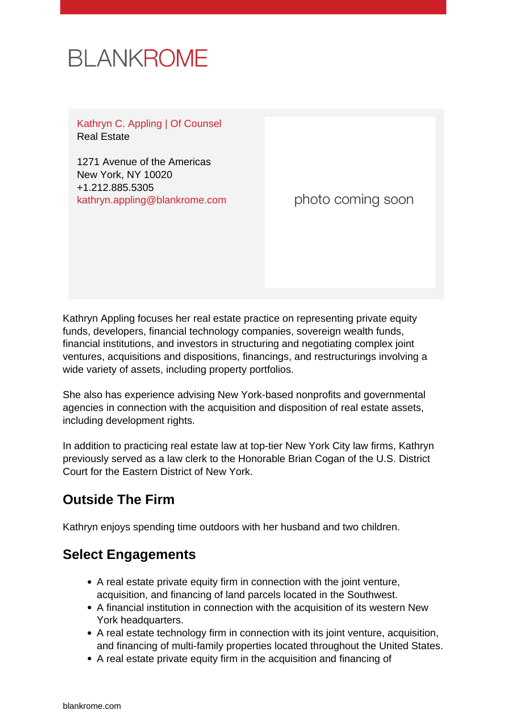# **BLANKROME**

Kathryn C. Appling | Of Counsel Real Estate

1271 Avenue of the Americas New York, NY 10020 +1.212.885.5305 [kathryn.appling@blankrome.com](mailto:kathryn.appling@blankrome.com)

photo coming soon

Kathryn Appling focuses her real estate practice on representing private equity funds, developers, financial technology companies, sovereign wealth funds, financial institutions, and investors in structuring and negotiating complex joint ventures, acquisitions and dispositions, financings, and restructurings involving a wide variety of assets, including property portfolios.

She also has experience advising New York-based nonprofits and governmental agencies in connection with the acquisition and disposition of real estate assets, including development rights.

In addition to practicing real estate law at top-tier New York City law firms, Kathryn previously served as a law clerk to the Honorable Brian Cogan of the U.S. District Court for the Eastern District of New York.

# **Outside The Firm**

Kathryn enjoys spending time outdoors with her husband and two children.

### **Select Engagements**

- A real estate private equity firm in connection with the joint venture, acquisition, and financing of land parcels located in the Southwest.
- A financial institution in connection with the acquisition of its western New York headquarters.
- A real estate technology firm in connection with its joint venture, acquisition, and financing of multi-family properties located throughout the United States.
- A real estate private equity firm in the acquisition and financing of